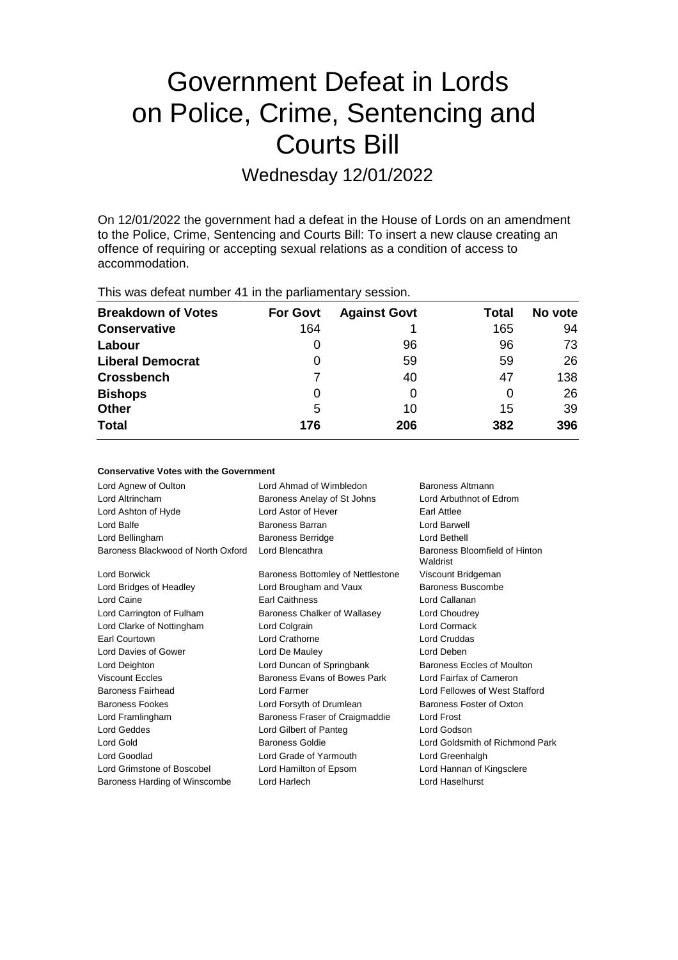# Government Defeat in Lords on Police, Crime, Sentencing and Courts Bill

Wednesday 12/01/2022

On 12/01/2022 the government had a defeat in the House of Lords on an amendment to the Police, Crime, Sentencing and Courts Bill: To insert a new clause creating an offence of requiring or accepting sexual relations as a condition of access to accommodation.

This was defeat number 41 in the parliamentary session.

| <b>Breakdown of Votes</b> | <b>For Govt</b> | <b>Against Govt</b> | Total | No vote |
|---------------------------|-----------------|---------------------|-------|---------|
| <b>Conservative</b>       | 164             |                     | 165   | 94      |
| Labour                    | 0               | 96                  | 96    | 73      |
| <b>Liberal Democrat</b>   | 0               | 59                  | 59    | 26      |
| <b>Crossbench</b>         |                 | 40                  | 47    | 138     |
| <b>Bishops</b>            | 0               | 0                   | 0     | 26      |
| <b>Other</b>              | 5               | 10                  | 15    | 39      |
| <b>Total</b>              | 176             | 206                 | 382   | 396     |

## **Conservative Votes with the Government**

| Lord Agnew of Oulton               | Lord Ahmad of Wimbledon           | Baroness Altmann                          |
|------------------------------------|-----------------------------------|-------------------------------------------|
| Lord Altrincham                    | Baroness Anelay of St Johns       | Lord Arbuthnot of Edrom                   |
| Lord Ashton of Hyde                | Lord Astor of Hever               | Earl Attlee                               |
| Lord Balfe                         | Baroness Barran                   | Lord Barwell                              |
| Lord Bellingham                    | <b>Baroness Berridge</b>          | Lord Bethell                              |
| Baroness Blackwood of North Oxford | Lord Blencathra                   | Baroness Bloomfield of Hinton<br>Waldrist |
| <b>Lord Borwick</b>                | Baroness Bottomley of Nettlestone | Viscount Bridgeman                        |
| Lord Bridges of Headley            | Lord Brougham and Vaux            | Baroness Buscombe                         |
| Lord Caine                         | <b>Earl Caithness</b>             | Lord Callanan                             |
| Lord Carrington of Fulham          | Baroness Chalker of Wallasey      | Lord Choudrey                             |
| Lord Clarke of Nottingham          | Lord Colgrain                     | Lord Cormack                              |
| Earl Courtown                      | Lord Crathorne                    | <b>Lord Cruddas</b>                       |
| Lord Davies of Gower               | Lord De Mauley                    | Lord Deben                                |
| Lord Deighton                      | Lord Duncan of Springbank         | Baroness Eccles of Moulton                |
| <b>Viscount Eccles</b>             | Baroness Evans of Bowes Park      | Lord Fairfax of Cameron                   |
| Baroness Fairhead                  | Lord Farmer                       | Lord Fellowes of West Stafford            |
| <b>Baroness Fookes</b>             | Lord Forsyth of Drumlean          | Baroness Foster of Oxton                  |
| Lord Framlingham                   | Baroness Fraser of Craigmaddie    | Lord Frost                                |
| <b>Lord Geddes</b>                 | Lord Gilbert of Panteg            | Lord Godson                               |
| Lord Gold                          | <b>Baroness Goldie</b>            | Lord Goldsmith of Richmond Park           |
| Lord Goodlad                       | Lord Grade of Yarmouth            | Lord Greenhalgh                           |
| Lord Grimstone of Boscobel         | Lord Hamilton of Epsom            | Lord Hannan of Kingsclere                 |
| Baroness Harding of Winscombe      | Lord Harlech                      | Lord Haselhurst                           |
|                                    |                                   |                                           |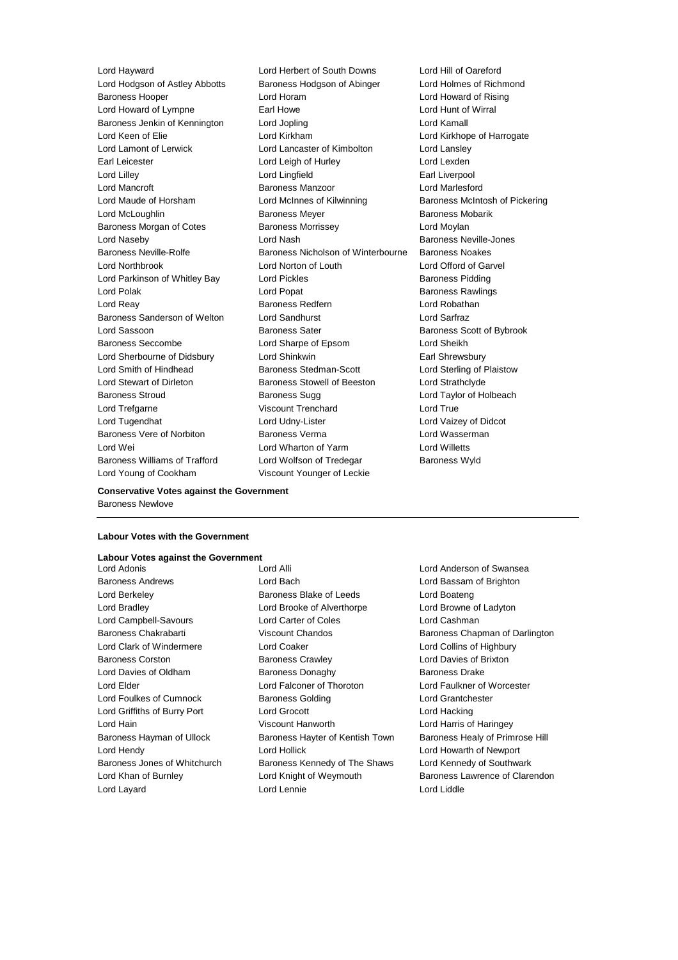Lord Young of Cookham Viscount Younger of Leckie

Lord Hayward Lord Herbert of South Downs Lord Hill of Oareford Lord Hodgson of Astley Abbotts Baroness Hodgson of Abinger Lord Holmes of Richmond Baroness Hooper Lord Horam Lord Howard of Rising Lord Howard of Lympne Earl Howe Lord Hunt of Wirral Baroness Jenkin of Kennington Lord Jopling Lord Kamall Lord Kamall Lord Keen of Elie Lord Kirkham Lord Kirkhope of Harrogate Lord Lamont of Lerwick **Lord Lancaster of Kimbolton** Lord Lansley Earl Leicester **Lord Leigh of Hurley Lord Lexden** Lord Lexden Lord Lilley Lord Lingfield Earl Liverpool Lord Mancroft Baroness Manzoor Lord Marlesford Lord Maude of Horsham **Lord McInnes of Kilwinning Baroness McIntosh of Pickering** Lord McLoughlin **Baroness Meyer** Baroness Meyer Baroness Mobarik Baroness Morgan of Cotes **Baroness Morrissey** Lord Moylan Lord Naseby **Lord Nash Baroness Neville-Jones** Baroness Neville-Rolfe **Baroness Nicholson of Winterbourne** Baroness Noakes Lord Northbrook Lord Norton of Louth Lord Offord of Garvel Lord Parkinson of Whitley Bay **Lord Pickles** Baroness Pidding Lord Polak Lord Popat Baroness Rawlings Lord Reay **Baroness Redfern Baroness Redfern Lord Robathan** Baroness Sanderson of Welton Lord Sandhurst Lord Sarfraz Lord Sassoon **Baroness Sater** Baroness Sater **Baroness** Scott of Bybrook Baroness Seccombe Lord Sharpe of Epsom Lord Sheikh Lord Sherbourne of Didsbury **Lord Shinkwin Earl Shrewsbury** Lord Smith of Hindhead Baroness Stedman-Scott Lord Sterling of Plaistow Lord Stewart of Dirleton Baroness Stowell of Beeston Lord Strathclyde Baroness Stroud Baroness Sugg Lord Taylor of Holbeach Lord Trefgarne **Viscount Trenchard** Lord True Lord Tugendhat Lord Udny-Lister Lord Vaizey of Didcot Baroness Vere of Norbiton **Baroness Verma** Baroness Verman Lord Wasserman Lord Wei Lord Wharton of Yarm Lord Willetts Baroness Williams of Trafford Lord Wolfson of Tredegar Baroness Wyld

**Conservative Votes against the Government** Baroness Newlove

### **Labour Votes with the Government**

## **Labour Votes against the Government**

Lord Layard Lord Lennie Lord Liddle

Baroness Andrews Lord Bach Lord Bassam of Brighton Lord Berkeley Baroness Blake of Leeds Lord Boateng Lord Bradley Lord Brooke of Alverthorpe Lord Browne of Ladyton Lord Campbell-Savours Lord Carter of Coles Lord Cashman Lord Clark of Windermere Lord Coaker Lord Collins of Highbury Baroness Corston Baroness Crawley Lord Davies of Brixton Lord Davies of Oldham Baroness Donaghy Baroness Drake Lord Elder Lord Falconer of Thoroton Lord Faulkner of Worcester Lord Foulkes of Cumnock Baroness Golding Lord Grantchester Lord Griffiths of Burry Port Lord Grocott Lord Hacking Lord Hain Viscount Hanworth Lord Harris of Haringey Lord Hendy Lord Hollick Lord Howarth of Newport Baroness Jones of Whitchurch Baroness Kennedy of The Shaws Lord Kennedy of Southwark

Lord Adonis Lord Alli Lord Anderson of Swansea Baroness Chakrabarti **Marting Chandos** Viscount Chandos **Baroness Chapman of Darlington** Baroness Hayman of Ullock Baroness Hayter of Kentish Town Baroness Healy of Primrose Hill Lord Khan of Burnley **Lord Knight of Weymouth** Baroness Lawrence of Clarendon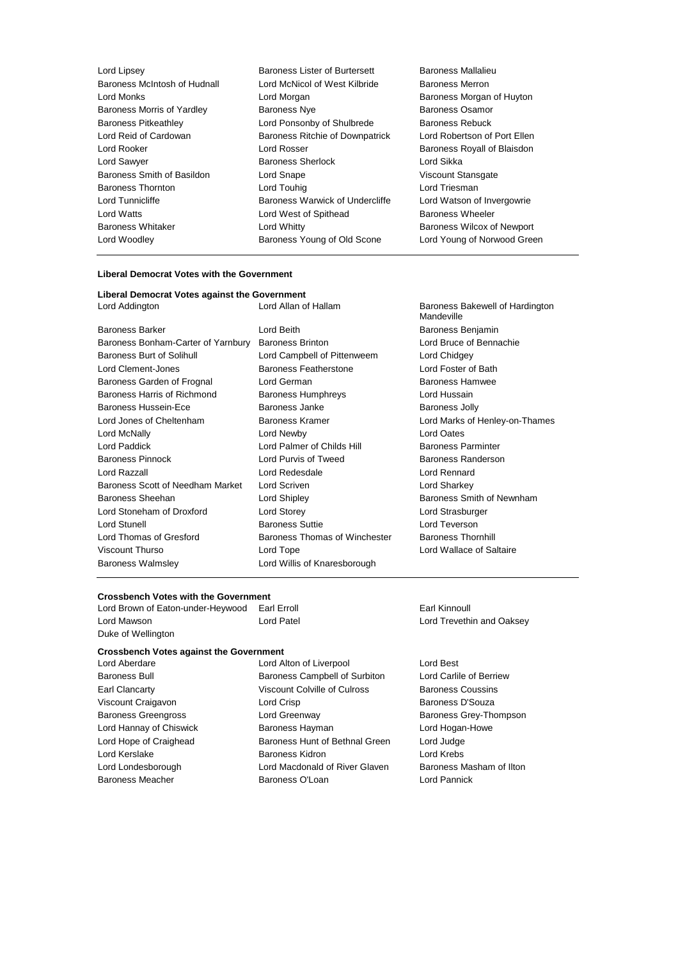| Lord Lipsey                  | Baroness Lister of Burtersett   | Baroness Mallalieu                |
|------------------------------|---------------------------------|-----------------------------------|
| Baroness McIntosh of Hudnall | Lord McNicol of West Kilbride   | <b>Baroness Merron</b>            |
| Lord Monks                   | Lord Morgan                     | Baroness Morgan of Huyton         |
| Baroness Morris of Yardley   | <b>Baroness Nye</b>             | <b>Baroness Osamor</b>            |
| <b>Baroness Pitkeathley</b>  | Lord Ponsonby of Shulbrede      | <b>Baroness Rebuck</b>            |
| Lord Reid of Cardowan        | Baroness Ritchie of Downpatrick | Lord Robertson of Port Ellen      |
| Lord Rooker                  | Lord Rosser                     | Baroness Royall of Blaisdon       |
| Lord Sawyer                  | <b>Baroness Sherlock</b>        | Lord Sikka                        |
| Baroness Smith of Basildon   | Lord Snape                      | Viscount Stansgate                |
| <b>Baroness Thornton</b>     | Lord Touhig                     | Lord Triesman                     |
| Lord Tunnicliffe             | Baroness Warwick of Undercliffe | Lord Watson of Invergowrie        |
| Lord Watts                   | Lord West of Spithead           | <b>Baroness Wheeler</b>           |
| <b>Baroness Whitaker</b>     | Lord Whitty                     | <b>Baroness Wilcox of Newport</b> |
| Lord Woodley                 | Baroness Young of Old Scone     | Lord Young of Norwood Green       |
|                              |                                 |                                   |

| Liberal Democrat Votes with the Government          |                               |                          |  |  |  |
|-----------------------------------------------------|-------------------------------|--------------------------|--|--|--|
| Liberal Democrat Votes against the Government       |                               |                          |  |  |  |
| Lord Addington                                      | Lord Allan of Hallam          | Baroness B<br>Mandeville |  |  |  |
| <b>Baroness Barker</b>                              | Lord Beith                    | <b>Baroness B</b>        |  |  |  |
| Baroness Bonham-Carter of Yarnbury Baroness Brinton |                               | Lord Bruce               |  |  |  |
| Baroness Burt of Solihull                           | Lord Campbell of Pittenweem   | Lord Chidge              |  |  |  |
| Lord Clement-Jones                                  | Baroness Featherstone         | <b>Lord Foster</b>       |  |  |  |
| Baroness Garden of Frognal                          | Lord German                   | Baroness H               |  |  |  |
| Baroness Harris of Richmond                         | <b>Baroness Humphreys</b>     | Lord Hussa               |  |  |  |
| Baroness Hussein-Ece                                | Baroness Janke                | Baroness J               |  |  |  |
| Lord Jones of Cheltenham                            | Baroness Kramer               | <b>Lord Marks</b>        |  |  |  |
| Lord McNally                                        | Lord Newby                    | <b>Lord Oates</b>        |  |  |  |
| Lord Paddick                                        | Lord Palmer of Childs Hill    | Baroness P               |  |  |  |
| <b>Baroness Pinnock</b>                             | Lord Purvis of Tweed          | <b>Baroness R</b>        |  |  |  |
| Lord Razzall                                        | Lord Redesdale                | Lord Renna               |  |  |  |
| Baroness Scott of Needham Market                    | <b>Lord Scriven</b>           | Lord Shark               |  |  |  |
| Baroness Sheehan                                    | Lord Shipley                  | <b>Baroness S</b>        |  |  |  |
| Lord Stoneham of Droxford                           | Lord Storey                   | Lord Strasb              |  |  |  |
| <b>Lord Stunell</b>                                 | <b>Baroness Suttie</b>        | <b>Lord Tevers</b>       |  |  |  |
| Lord Thomas of Gresford                             | Baroness Thomas of Winchester | <b>Baroness T</b>        |  |  |  |
| Viscount Thurso                                     | Lord Tope                     | Lord Wallad              |  |  |  |
| <b>Baroness Walmsley</b>                            | Lord Willis of Knaresborough  |                          |  |  |  |

Baroness Bakewell of Hardington Mandeville Baroness Benjamin Lord Bruce of Bennachie Lord Chidgey Lord Foster of Bath Baroness Hamwee Lord Hussain Baroness Jolly Lord Marks of Henley-on-Thames Baroness Parminter Baroness Randerson Lord Rennard Lord Sharkey Baroness Smith of Newnham Lord Strasburger Lord Teverson er Baroness Thornhill Lord Wallace of Saltaire

## **Crossbench Votes with the Government**

Lord Brown of Eaton-under-Heywood Earl Erroll **Earl Example 2018** Earl Kinnoull Lord Mawson Lord Patel Lord Trevethin and Oaksey Duke of Wellington

## **Crossbench Votes against the Government**

Baroness Meacher Baroness O'Loan

Lord Aberdare Lord Alton of Liverpool Lord Best Baroness Bull Baroness Campbell of Surbiton Lord Carlile of Berriew Earl Clancarty Viscount Colville of Culross Baroness Coussins Viscount Craigavon **Craigavon** Lord Crisp **Baroness D'Souza** Baroness Greengross **Lord Greenway Community** Baroness Grey-Thompson Lord Hannay of Chiswick **Baroness Hayman** Lord Hogan-Howe Lord Hope of Craighead **Baroness Hunt of Bethnal Green** Lord Judge Lord Kerslake **Baroness Kidron** Baroness Kidron Lord Krebs

Lord Londesborough Lord Macdonald of River Glaven Baroness Masham of Ilton<br>
Baroness Meacher Baroness O'Loan Lord Pannick